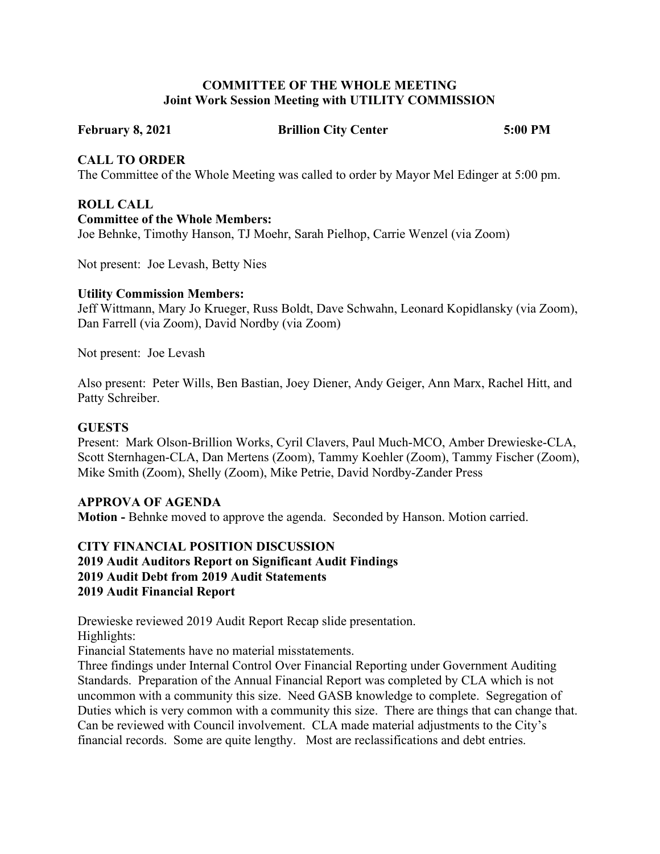### COMMITTEE OF THE WHOLE MEETING Joint Work Session Meeting with UTILITY COMMISSION

February 8, 2021 Brillion City Center 5:00 PM

### CALL TO ORDER

The Committee of the Whole Meeting was called to order by Mayor Mel Edinger at 5:00 pm.

# ROLL CALL

#### Committee of the Whole Members:

Joe Behnke, Timothy Hanson, TJ Moehr, Sarah Pielhop, Carrie Wenzel (via Zoom)

Not present: Joe Levash, Betty Nies

### Utility Commission Members:

Jeff Wittmann, Mary Jo Krueger, Russ Boldt, Dave Schwahn, Leonard Kopidlansky (via Zoom), Dan Farrell (via Zoom), David Nordby (via Zoom)

Not present: Joe Levash

Also present: Peter Wills, Ben Bastian, Joey Diener, Andy Geiger, Ann Marx, Rachel Hitt, and Patty Schreiber.

### **GUESTS**

Present: Mark Olson-Brillion Works, Cyril Clavers, Paul Much-MCO, Amber Drewieske-CLA, Scott Sternhagen-CLA, Dan Mertens (Zoom), Tammy Koehler (Zoom), Tammy Fischer (Zoom), Mike Smith (Zoom), Shelly (Zoom), Mike Petrie, David Nordby-Zander Press

# APPROVA OF AGENDA

Motion - Behnke moved to approve the agenda. Seconded by Hanson. Motion carried.

### CITY FINANCIAL POSITION DISCUSSION 2019 Audit Auditors Report on Significant Audit Findings 2019 Audit Debt from 2019 Audit Statements 2019 Audit Financial Report

Drewieske reviewed 2019 Audit Report Recap slide presentation. Highlights:

Financial Statements have no material misstatements.

Three findings under Internal Control Over Financial Reporting under Government Auditing Standards. Preparation of the Annual Financial Report was completed by CLA which is not uncommon with a community this size. Need GASB knowledge to complete. Segregation of Duties which is very common with a community this size. There are things that can change that. Can be reviewed with Council involvement. CLA made material adjustments to the City's financial records. Some are quite lengthy. Most are reclassifications and debt entries.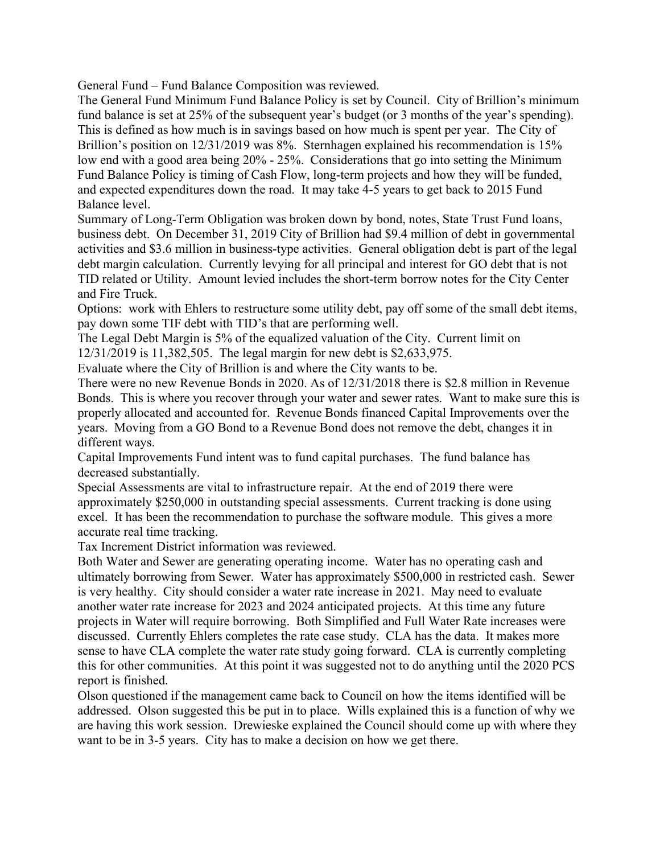General Fund – Fund Balance Composition was reviewed.

The General Fund Minimum Fund Balance Policy is set by Council. City of Brillion's minimum fund balance is set at 25% of the subsequent year's budget (or 3 months of the year's spending). This is defined as how much is in savings based on how much is spent per year. The City of Brillion's position on 12/31/2019 was 8%. Sternhagen explained his recommendation is 15% low end with a good area being 20% - 25%. Considerations that go into setting the Minimum Fund Balance Policy is timing of Cash Flow, long-term projects and how they will be funded, and expected expenditures down the road. It may take 4-5 years to get back to 2015 Fund Balance level.

Summary of Long-Term Obligation was broken down by bond, notes, State Trust Fund loans, business debt. On December 31, 2019 City of Brillion had \$9.4 million of debt in governmental activities and \$3.6 million in business-type activities. General obligation debt is part of the legal debt margin calculation. Currently levying for all principal and interest for GO debt that is not TID related or Utility. Amount levied includes the short-term borrow notes for the City Center and Fire Truck.

Options: work with Ehlers to restructure some utility debt, pay off some of the small debt items, pay down some TIF debt with TID's that are performing well.

The Legal Debt Margin is 5% of the equalized valuation of the City. Current limit on 12/31/2019 is 11,382,505. The legal margin for new debt is \$2,633,975.

Evaluate where the City of Brillion is and where the City wants to be.

There were no new Revenue Bonds in 2020. As of 12/31/2018 there is \$2.8 million in Revenue Bonds. This is where you recover through your water and sewer rates. Want to make sure this is properly allocated and accounted for. Revenue Bonds financed Capital Improvements over the years. Moving from a GO Bond to a Revenue Bond does not remove the debt, changes it in different ways.

Capital Improvements Fund intent was to fund capital purchases. The fund balance has decreased substantially.

Special Assessments are vital to infrastructure repair. At the end of 2019 there were approximately \$250,000 in outstanding special assessments. Current tracking is done using excel. It has been the recommendation to purchase the software module. This gives a more accurate real time tracking.

Tax Increment District information was reviewed.

Both Water and Sewer are generating operating income. Water has no operating cash and ultimately borrowing from Sewer. Water has approximately \$500,000 in restricted cash. Sewer is very healthy. City should consider a water rate increase in 2021. May need to evaluate another water rate increase for 2023 and 2024 anticipated projects. At this time any future projects in Water will require borrowing. Both Simplified and Full Water Rate increases were discussed. Currently Ehlers completes the rate case study. CLA has the data. It makes more sense to have CLA complete the water rate study going forward. CLA is currently completing this for other communities. At this point it was suggested not to do anything until the 2020 PCS report is finished.

Olson questioned if the management came back to Council on how the items identified will be addressed. Olson suggested this be put in to place. Wills explained this is a function of why we are having this work session. Drewieske explained the Council should come up with where they want to be in 3-5 years. City has to make a decision on how we get there.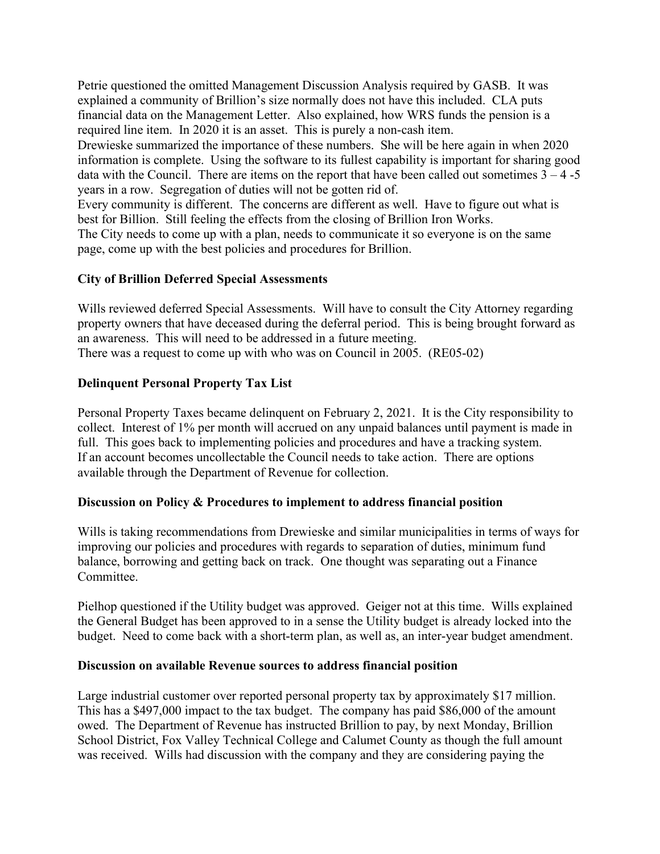Petrie questioned the omitted Management Discussion Analysis required by GASB. It was explained a community of Brillion's size normally does not have this included. CLA puts financial data on the Management Letter. Also explained, how WRS funds the pension is a required line item. In 2020 it is an asset. This is purely a non-cash item.

Drewieske summarized the importance of these numbers. She will be here again in when 2020 information is complete. Using the software to its fullest capability is important for sharing good data with the Council. There are items on the report that have been called out sometimes  $3 - 4 - 5$ years in a row. Segregation of duties will not be gotten rid of.

Every community is different. The concerns are different as well. Have to figure out what is best for Billion. Still feeling the effects from the closing of Brillion Iron Works.

The City needs to come up with a plan, needs to communicate it so everyone is on the same page, come up with the best policies and procedures for Brillion.

# City of Brillion Deferred Special Assessments

Wills reviewed deferred Special Assessments. Will have to consult the City Attorney regarding property owners that have deceased during the deferral period. This is being brought forward as an awareness. This will need to be addressed in a future meeting. There was a request to come up with who was on Council in 2005. (RE05-02)

# Delinquent Personal Property Tax List

Personal Property Taxes became delinquent on February 2, 2021. It is the City responsibility to collect. Interest of 1% per month will accrued on any unpaid balances until payment is made in full. This goes back to implementing policies and procedures and have a tracking system. If an account becomes uncollectable the Council needs to take action. There are options available through the Department of Revenue for collection.

# Discussion on Policy & Procedures to implement to address financial position

Wills is taking recommendations from Drewieske and similar municipalities in terms of ways for improving our policies and procedures with regards to separation of duties, minimum fund balance, borrowing and getting back on track. One thought was separating out a Finance Committee.

Pielhop questioned if the Utility budget was approved. Geiger not at this time. Wills explained the General Budget has been approved to in a sense the Utility budget is already locked into the budget. Need to come back with a short-term plan, as well as, an inter-year budget amendment.

### Discussion on available Revenue sources to address financial position

Large industrial customer over reported personal property tax by approximately \$17 million. This has a \$497,000 impact to the tax budget. The company has paid \$86,000 of the amount owed. The Department of Revenue has instructed Brillion to pay, by next Monday, Brillion School District, Fox Valley Technical College and Calumet County as though the full amount was received. Wills had discussion with the company and they are considering paying the